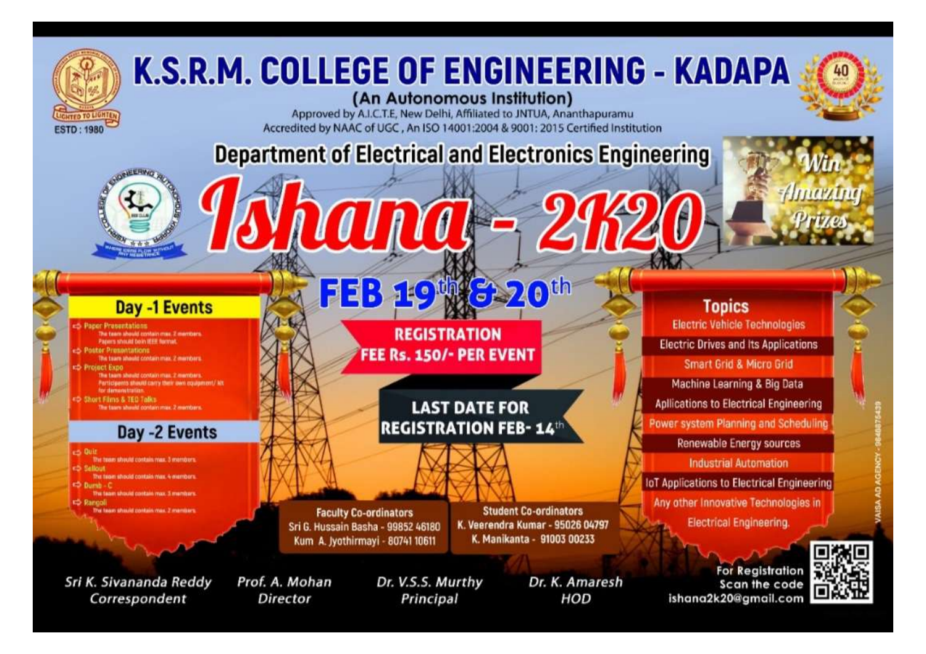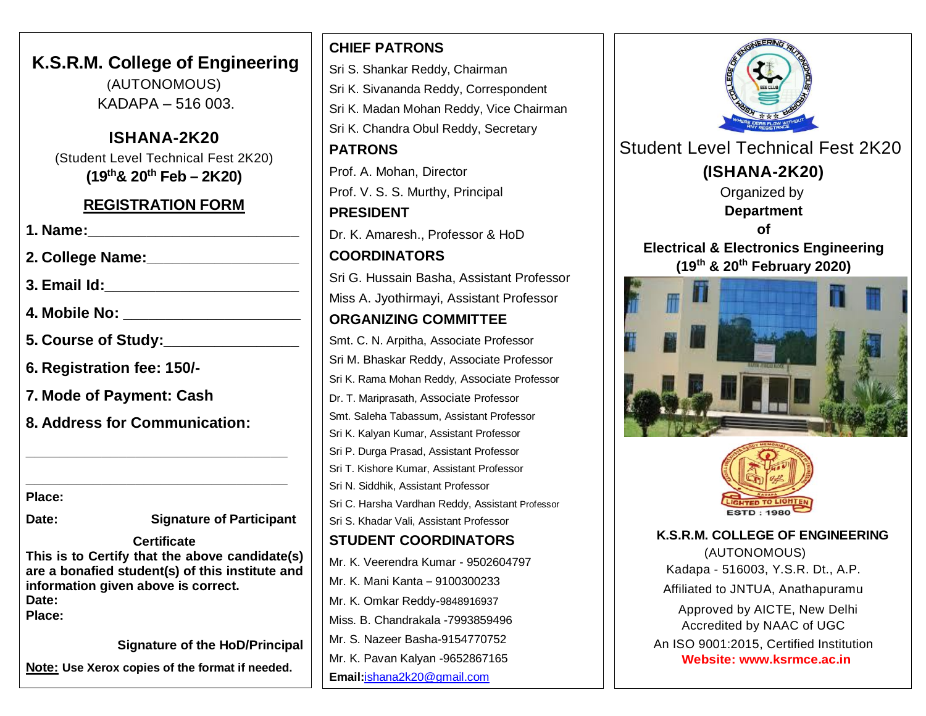**K.S.R.M. College of Engineering** (AUTONOMOUS) KADAPA – 516 003.

**ISHANA-2K20** (Student Level Technical Fest 2K20) **(19th& 20th Feb – 2K20)**

# **REGISTRATION FORM**

| <b>1. Name:</b>                      |                                 |
|--------------------------------------|---------------------------------|
|                                      | 2. College Name: ______________ |
|                                      |                                 |
| 4. Mobile No: ___________________    |                                 |
| 5. Course of Study: ________________ |                                 |
| 6. Registration fee: 150/-           |                                 |
| 7. Mode of Payment: Cash             |                                 |
| 8. Address for Communication:        |                                 |
|                                      |                                 |
|                                      |                                 |
| Place:                               |                                 |
| Date:                                | <b>Signature of Participant</b> |
|                                      |                                 |

**Certificate This is to Certify that the above candidate(s) are a bonafied student(s) of this institute and information given above is correct. Date: Place:**

**Signature of the HoD/Principal**

**Note: Use Xerox copies of the format if needed.**

**CHIEF PATRONS** Sri S. Shankar Reddy, Chairman Sri K. Sivananda Reddy, Correspondent Sri K. Madan Mohan Reddy, Vice Chairman Sri K. Chandra Obul Reddy, Secretary **PATRONS** Prof. A. Mohan, Director Prof. V. S. S. Murthy, Principal **PRESIDENT** Dr. K. Amaresh., Professor & HoD **COORDINATORS** Sri G. Hussain Basha, Assistant Professor Miss A. Jyothirmayi, Assistant Professor **ORGANIZING COMMITTEE** Smt. C. N. Arpitha, Associate Professor Sri M. Bhaskar Reddy, Associate Professor Sri K. Rama Mohan Reddy, Associate Professor Dr. T. Mariprasath, Associate Professor Smt. Saleha Tabassum, Assistant Professor Sri K. Kalyan Kumar, Assistant Professor Sri P. Durga Prasad, Assistant Professor Sri T. Kishore Kumar, Assistant Professor Sri N. Siddhik, Assistant Professor Sri C. Harsha Vardhan Reddy, Assistant Professor Sri S. Khadar Vali, Assistant Professor **STUDENT COORDINATORS** Mr. K. Veerendra Kumar - 9502604797 Mr. K. Mani Kanta – 9100300233 Mr. K. Omkar Reddy-9848916937 Miss. B. Chandrakala -7993859496 Mr. S. Nazeer Basha-9154770752 Mr. K. Pavan Kalyan -9652867165 **Email:**[ishana2k20@gmail.com](mailto:ishana2k20@gmail.com)



(AUTONOMOUS) Kadapa - 516003, Y.S.R. Dt., A.P. Affiliated to JNTUA, Anathapuramu Approved by AICTE, New Delhi Accredited by NAAC of UGC An ISO 9001:2015, Certified Institution

**Website: [www.ksrmce.ac.in](http://www.ksrmce.ac.in/)**